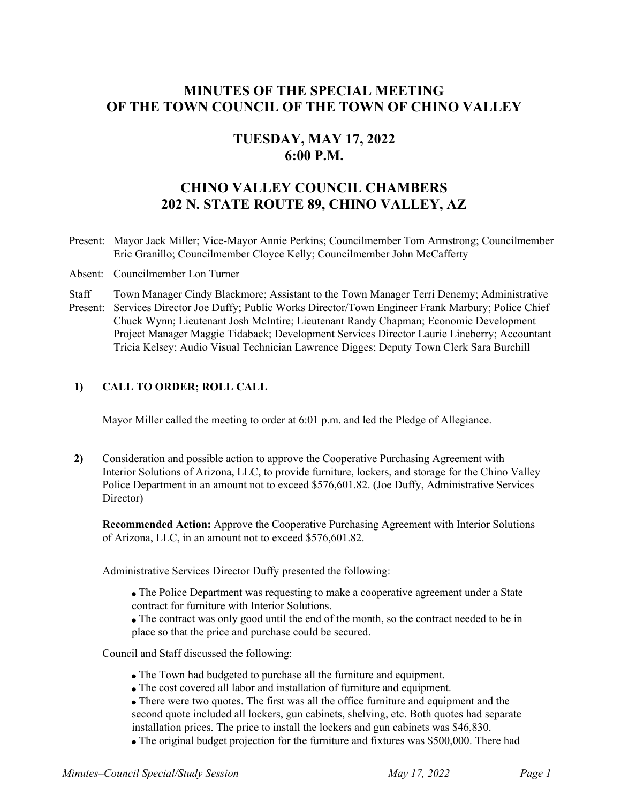# **MINUTES OF THE SPECIAL MEETING OF THE TOWN COUNCIL OF THE TOWN OF CHINO VALLEY**

# **TUESDAY, MAY 17, 2022 6:00 P.M.**

# **CHINO VALLEY COUNCIL CHAMBERS 202 N. STATE ROUTE 89, CHINO VALLEY, AZ**

- Present: Mayor Jack Miller; Vice-Mayor Annie Perkins; Councilmember Tom Armstrong; Councilmember Eric Granillo; Councilmember Cloyce Kelly; Councilmember John McCafferty
- Absent: Councilmember Lon Turner
- **Staff** Present: Services Director Joe Duffy; Public Works Director/Town Engineer Frank Marbury; Police Chief Town Manager Cindy Blackmore; Assistant to the Town Manager Terri Denemy; Administrative Chuck Wynn; Lieutenant Josh McIntire; Lieutenant Randy Chapman; Economic Development Project Manager Maggie Tidaback; Development Services Director Laurie Lineberry; Accountant Tricia Kelsey; Audio Visual Technician Lawrence Digges; Deputy Town Clerk Sara Burchill

## **1) CALL TO ORDER; ROLL CALL**

Mayor Miller called the meeting to order at 6:01 p.m. and led the Pledge of Allegiance.

**2)** Consideration and possible action to approve the Cooperative Purchasing Agreement with Interior Solutions of Arizona, LLC, to provide furniture, lockers, and storage for the Chino Valley Police Department in an amount not to exceed \$576,601.82. (Joe Duffy, Administrative Services Director)

**Recommended Action:** Approve the Cooperative Purchasing Agreement with Interior Solutions of Arizona, LLC, in an amount not to exceed \$576,601.82.

Administrative Services Director Duffy presented the following:

- The Police Department was requesting to make a cooperative agreement under a State contract for furniture with Interior Solutions.
- The contract was only good until the end of the month, so the contract needed to be in place so that the price and purchase could be secured.

Council and Staff discussed the following:

- The Town had budgeted to purchase all the furniture and equipment.
- The cost covered all labor and installation of furniture and equipment.
- There were two quotes. The first was all the office furniture and equipment and the second quote included all lockers, gun cabinets, shelving, etc. Both quotes had separate installation prices. The price to install the lockers and gun cabinets was \$46,830.
- The original budget projection for the furniture and fixtures was \$500,000. There had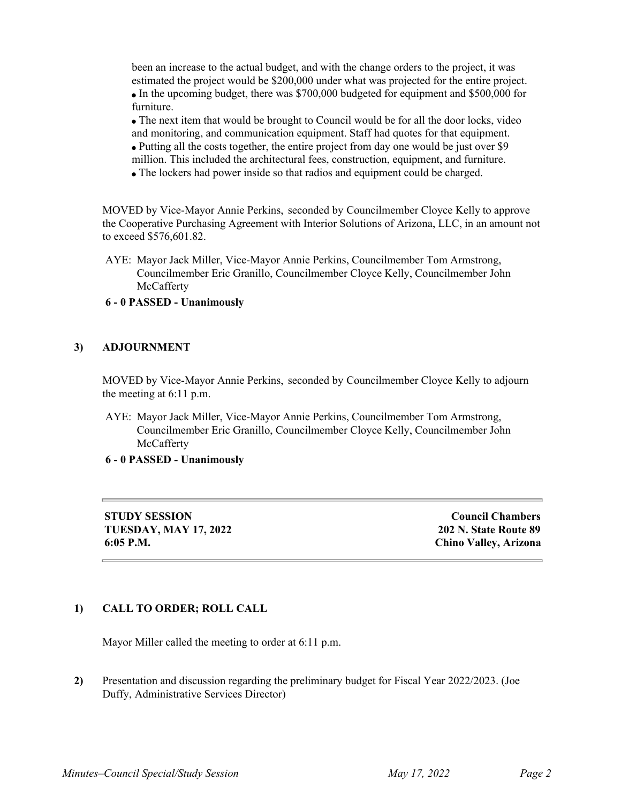been an increase to the actual budget, and with the change orders to the project, it was estimated the project would be \$200,000 under what was projected for the entire project. In the upcoming budget, there was \$700,000 budgeted for equipment and \$500,000 for furniture.

The next item that would be brought to Council would be for all the door locks, video and monitoring, and communication equipment. Staff had quotes for that equipment. Putting all the costs together, the entire project from day one would be just over \$9 million. This included the architectural fees, construction, equipment, and furniture.

The lockers had power inside so that radios and equipment could be charged.

MOVED by Vice-Mayor Annie Perkins, seconded by Councilmember Cloyce Kelly to approve the Cooperative Purchasing Agreement with Interior Solutions of Arizona, LLC, in an amount not to exceed \$576,601.82.

AYE: Mayor Jack Miller, Vice-Mayor Annie Perkins, Councilmember Tom Armstrong, Councilmember Eric Granillo, Councilmember Cloyce Kelly, Councilmember John **McCafferty** 

## **6 - 0 PASSED - Unanimously**

#### **3) ADJOURNMENT**

MOVED by Vice-Mayor Annie Perkins, seconded by Councilmember Cloyce Kelly to adjourn the meeting at 6:11 p.m.

AYE: Mayor Jack Miller, Vice-Mayor Annie Perkins, Councilmember Tom Armstrong, Councilmember Eric Granillo, Councilmember Cloyce Kelly, Councilmember John **McCafferty** 

#### **6 - 0 PASSED - Unanimously**

**STUDY SESSION TUESDAY, MAY 17, 2022 6:05 P.M.**

**Council Chambers 202 N. State Route 89 Chino Valley, Arizona**

## **1) CALL TO ORDER; ROLL CALL**

Mayor Miller called the meeting to order at 6:11 p.m.

**2)** Presentation and discussion regarding the preliminary budget for Fiscal Year 2022/2023. (Joe Duffy, Administrative Services Director)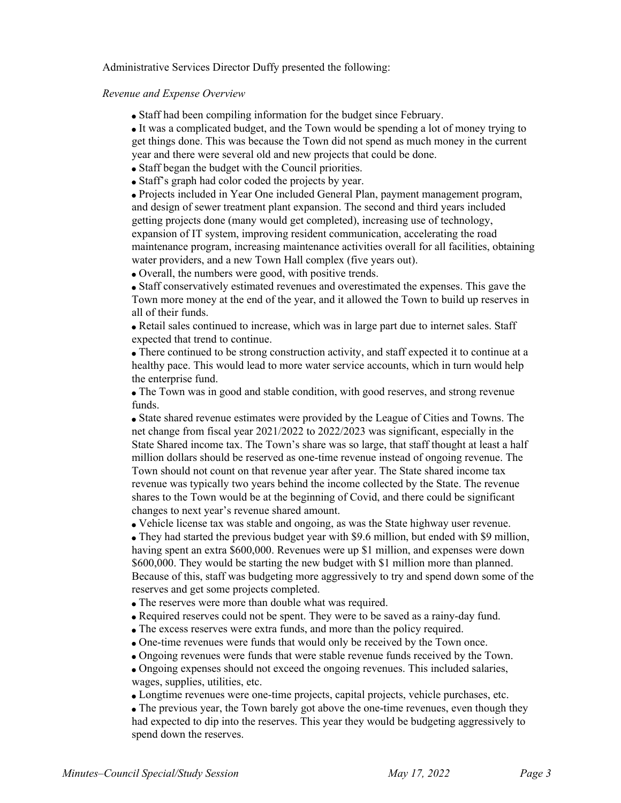Administrative Services Director Duffy presented the following:

#### *Revenue and Expense Overview*

• Staff had been compiling information for the budget since February.

It was a complicated budget, and the Town would be spending a lot of money trying to get things done. This was because the Town did not spend as much money in the current year and there were several old and new projects that could be done.

- Staff began the budget with the Council priorities.
- Staff's graph had color coded the projects by year.

Projects included in Year One included General Plan, payment management program, and design of sewer treatment plant expansion. The second and third years included getting projects done (many would get completed), increasing use of technology, expansion of IT system, improving resident communication, accelerating the road maintenance program, increasing maintenance activities overall for all facilities, obtaining water providers, and a new Town Hall complex (five years out).

Overall, the numbers were good, with positive trends.

Staff conservatively estimated revenues and overestimated the expenses. This gave the Town more money at the end of the year, and it allowed the Town to build up reserves in all of their funds.

Retail sales continued to increase, which was in large part due to internet sales. Staff expected that trend to continue.

There continued to be strong construction activity, and staff expected it to continue at a healthy pace. This would lead to more water service accounts, which in turn would help the enterprise fund.

The Town was in good and stable condition, with good reserves, and strong revenue funds.

State shared revenue estimates were provided by the League of Cities and Towns. The net change from fiscal year 2021/2022 to 2022/2023 was significant, especially in the State Shared income tax. The Town's share was so large, that staff thought at least a half million dollars should be reserved as one-time revenue instead of ongoing revenue. The Town should not count on that revenue year after year. The State shared income tax revenue was typically two years behind the income collected by the State. The revenue shares to the Town would be at the beginning of Covid, and there could be significant changes to next year's revenue shared amount.

Vehicle license tax was stable and ongoing, as was the State highway user revenue.

They had started the previous budget year with \$9.6 million, but ended with \$9 million, having spent an extra \$600,000. Revenues were up \$1 million, and expenses were down \$600,000. They would be starting the new budget with \$1 million more than planned. Because of this, staff was budgeting more aggressively to try and spend down some of the reserves and get some projects completed.

- The reserves were more than double what was required.
- Required reserves could not be spent. They were to be saved as a rainy-day fund.
- The excess reserves were extra funds, and more than the policy required.
- One-time revenues were funds that would only be received by the Town once.
- Ongoing revenues were funds that were stable revenue funds received by the Town.

Ongoing expenses should not exceed the ongoing revenues. This included salaries, wages, supplies, utilities, etc.

Longtime revenues were one-time projects, capital projects, vehicle purchases, etc.

The previous year, the Town barely got above the one-time revenues, even though they had expected to dip into the reserves. This year they would be budgeting aggressively to spend down the reserves.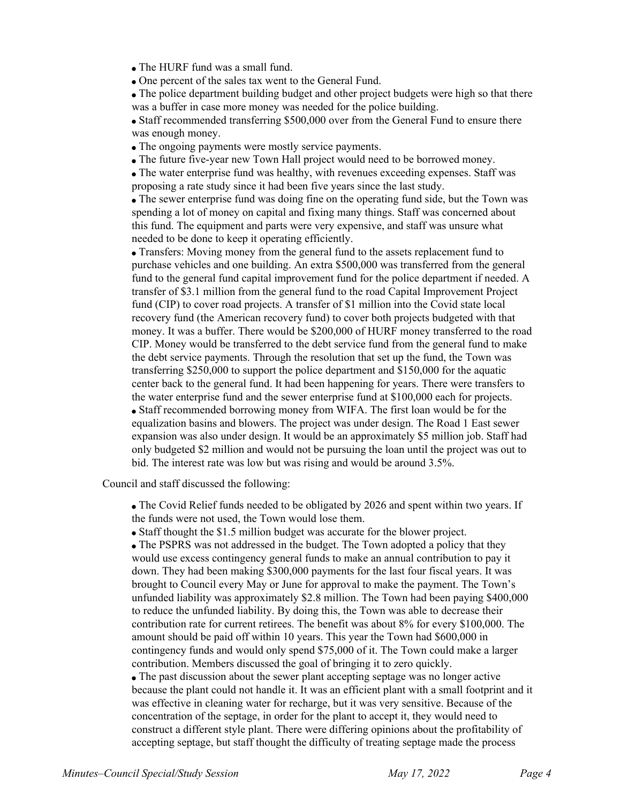• The HURF fund was a small fund.

One percent of the sales tax went to the General Fund.

The police department building budget and other project budgets were high so that there was a buffer in case more money was needed for the police building.

• Staff recommended transferring \$500,000 over from the General Fund to ensure there was enough money.

• The ongoing payments were mostly service payments.

The future five-year new Town Hall project would need to be borrowed money.

The water enterprise fund was healthy, with revenues exceeding expenses. Staff was proposing a rate study since it had been five years since the last study.

The sewer enterprise fund was doing fine on the operating fund side, but the Town was spending a lot of money on capital and fixing many things. Staff was concerned about this fund. The equipment and parts were very expensive, and staff was unsure what needed to be done to keep it operating efficiently.

Transfers: Moving money from the general fund to the assets replacement fund to purchase vehicles and one building. An extra \$500,000 was transferred from the general fund to the general fund capital improvement fund for the police department if needed. A transfer of \$3.1 million from the general fund to the road Capital Improvement Project fund (CIP) to cover road projects. A transfer of \$1 million into the Covid state local recovery fund (the American recovery fund) to cover both projects budgeted with that money. It was a buffer. There would be \$200,000 of HURF money transferred to the road CIP. Money would be transferred to the debt service fund from the general fund to make the debt service payments. Through the resolution that set up the fund, the Town was transferring \$250,000 to support the police department and \$150,000 for the aquatic center back to the general fund. It had been happening for years. There were transfers to the water enterprise fund and the sewer enterprise fund at \$100,000 each for projects. Staff recommended borrowing money from WIFA. The first loan would be for the equalization basins and blowers. The project was under design. The Road 1 East sewer expansion was also under design. It would be an approximately \$5 million job. Staff had only budgeted \$2 million and would not be pursuing the loan until the project was out to bid. The interest rate was low but was rising and would be around 3.5%.

Council and staff discussed the following:

The Covid Relief funds needed to be obligated by 2026 and spent within two years. If the funds were not used, the Town would lose them.

• Staff thought the \$1.5 million budget was accurate for the blower project.

• The PSPRS was not addressed in the budget. The Town adopted a policy that they would use excess contingency general funds to make an annual contribution to pay it down. They had been making \$300,000 payments for the last four fiscal years. It was brought to Council every May or June for approval to make the payment. The Town's unfunded liability was approximately \$2.8 million. The Town had been paying \$400,000 to reduce the unfunded liability. By doing this, the Town was able to decrease their contribution rate for current retirees. The benefit was about 8% for every \$100,000. The amount should be paid off within 10 years. This year the Town had \$600,000 in contingency funds and would only spend \$75,000 of it. The Town could make a larger contribution. Members discussed the goal of bringing it to zero quickly.

The past discussion about the sewer plant accepting septage was no longer active because the plant could not handle it. It was an efficient plant with a small footprint and it was effective in cleaning water for recharge, but it was very sensitive. Because of the concentration of the septage, in order for the plant to accept it, they would need to construct a different style plant. There were differing opinions about the profitability of accepting septage, but staff thought the difficulty of treating septage made the process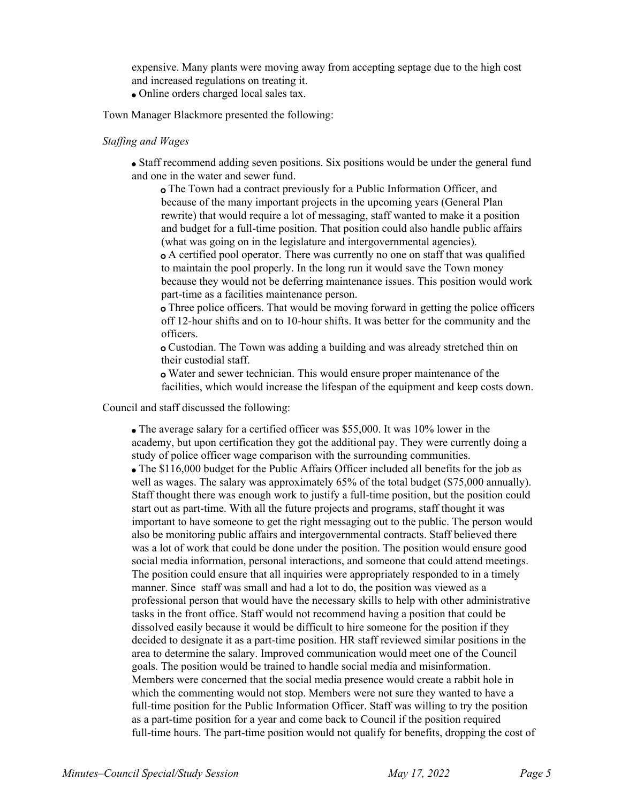expensive. Many plants were moving away from accepting septage due to the high cost and increased regulations on treating it.

Online orders charged local sales tax.

Town Manager Blackmore presented the following:

#### *Staffing and Wages*

Staff recommend adding seven positions. Six positions would be under the general fund and one in the water and sewer fund.

The Town had a contract previously for a Public Information Officer, and o because of the many important projects in the upcoming years (General Plan rewrite) that would require a lot of messaging, staff wanted to make it a position and budget for a full-time position. That position could also handle public affairs (what was going on in the legislature and intergovernmental agencies). A certified pool operator. There was currently no one on staff that was qualified o

to maintain the pool properly. In the long run it would save the Town money because they would not be deferring maintenance issues. This position would work part-time as a facilities maintenance person.

Three police officers. That would be moving forward in getting the police officers o off 12-hour shifts and on to 10-hour shifts. It was better for the community and the officers.

Custodian. The Town was adding a building and was already stretched thin on o their custodial staff.

Water and sewer technician. This would ensure proper maintenance of the ofacilities, which would increase the lifespan of the equipment and keep costs down.

Council and staff discussed the following:

The average salary for a certified officer was \$55,000. It was 10% lower in the academy, but upon certification they got the additional pay. They were currently doing a study of police officer wage comparison with the surrounding communities.

The \$116,000 budget for the Public Affairs Officer included all benefits for the job as well as wages. The salary was approximately 65% of the total budget (\$75,000 annually). Staff thought there was enough work to justify a full-time position, but the position could start out as part-time. With all the future projects and programs, staff thought it was important to have someone to get the right messaging out to the public. The person would also be monitoring public affairs and intergovernmental contracts. Staff believed there was a lot of work that could be done under the position. The position would ensure good social media information, personal interactions, and someone that could attend meetings. The position could ensure that all inquiries were appropriately responded to in a timely manner. Since staff was small and had a lot to do, the position was viewed as a professional person that would have the necessary skills to help with other administrative tasks in the front office. Staff would not recommend having a position that could be dissolved easily because it would be difficult to hire someone for the position if they decided to designate it as a part-time position. HR staff reviewed similar positions in the area to determine the salary. Improved communication would meet one of the Council goals. The position would be trained to handle social media and misinformation. Members were concerned that the social media presence would create a rabbit hole in which the commenting would not stop. Members were not sure they wanted to have a full-time position for the Public Information Officer. Staff was willing to try the position as a part-time position for a year and come back to Council if the position required full-time hours. The part-time position would not qualify for benefits, dropping the cost of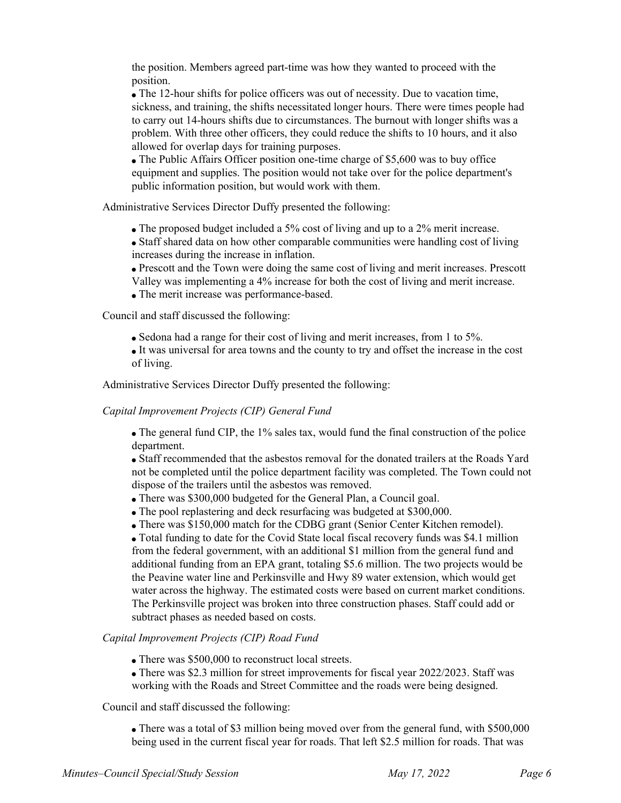the position. Members agreed part-time was how they wanted to proceed with the position.

The 12-hour shifts for police officers was out of necessity. Due to vacation time, sickness, and training, the shifts necessitated longer hours. There were times people had to carry out 14-hours shifts due to circumstances. The burnout with longer shifts was a problem. With three other officers, they could reduce the shifts to 10 hours, and it also allowed for overlap days for training purposes.

The Public Affairs Officer position one-time charge of \$5,600 was to buy office equipment and supplies. The position would not take over for the police department's public information position, but would work with them.

Administrative Services Director Duffy presented the following:

- The proposed budget included a 5% cost of living and up to a 2% merit increase.
- Staff shared data on how other comparable communities were handling cost of living increases during the increase in inflation.
- Prescott and the Town were doing the same cost of living and merit increases. Prescott
- Valley was implementing a 4% increase for both the cost of living and merit increase.
- The merit increase was performance-based.

Council and staff discussed the following:

Sedona had a range for their cost of living and merit increases, from 1 to 5%.

It was universal for area towns and the county to try and offset the increase in the cost of living.

Administrative Services Director Duffy presented the following:

## *Capital Improvement Projects (CIP) General Fund*

• The general fund CIP, the 1% sales tax, would fund the final construction of the police department.

Staff recommended that the asbestos removal for the donated trailers at the Roads Yard not be completed until the police department facility was completed. The Town could not dispose of the trailers until the asbestos was removed.

- There was \$300,000 budgeted for the General Plan, a Council goal.
- The pool replastering and deck resurfacing was budgeted at \$300,000.
- There was \$150,000 match for the CDBG grant (Senior Center Kitchen remodel).

Total funding to date for the Covid State local fiscal recovery funds was \$4.1 million from the federal government, with an additional \$1 million from the general fund and additional funding from an EPA grant, totaling \$5.6 million. The two projects would be the Peavine water line and Perkinsville and Hwy 89 water extension, which would get water across the highway. The estimated costs were based on current market conditions. The Perkinsville project was broken into three construction phases. Staff could add or subtract phases as needed based on costs.

## *Capital Improvement Projects (CIP) Road Fund*

- There was \$500,000 to reconstruct local streets.
- There was \$2.3 million for street improvements for fiscal year 2022/2023. Staff was working with the Roads and Street Committee and the roads were being designed.

## Council and staff discussed the following:

There was a total of \$3 million being moved over from the general fund, with \$500,000 being used in the current fiscal year for roads. That left \$2.5 million for roads. That was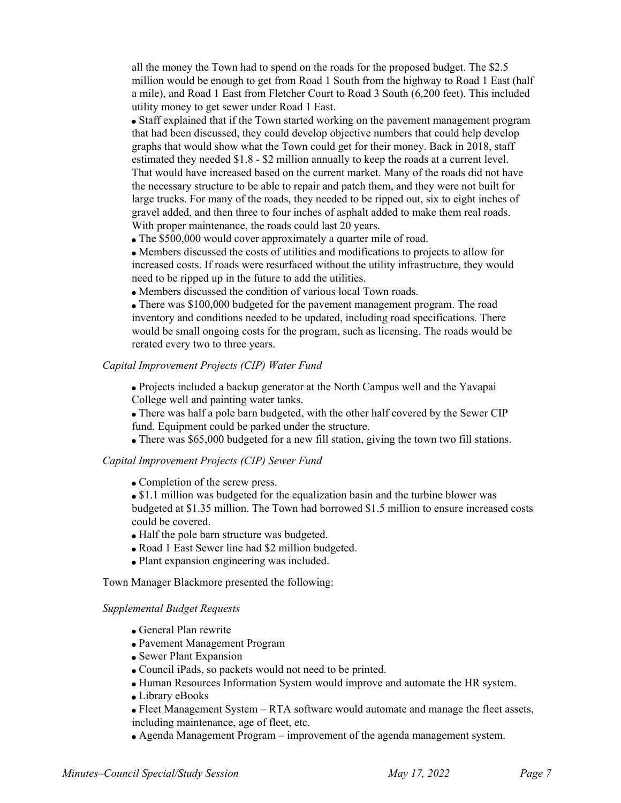all the money the Town had to spend on the roads for the proposed budget. The \$2.5 million would be enough to get from Road 1 South from the highway to Road 1 East (half a mile), and Road 1 East from Fletcher Court to Road 3 South (6,200 feet). This included utility money to get sewer under Road 1 East.

Staff explained that if the Town started working on the pavement management program that had been discussed, they could develop objective numbers that could help develop graphs that would show what the Town could get for their money. Back in 2018, staff estimated they needed \$1.8 - \$2 million annually to keep the roads at a current level. That would have increased based on the current market. Many of the roads did not have the necessary structure to be able to repair and patch them, and they were not built for large trucks. For many of the roads, they needed to be ripped out, six to eight inches of gravel added, and then three to four inches of asphalt added to make them real roads. With proper maintenance, the roads could last 20 years.

The \$500,000 would cover approximately a quarter mile of road.

Members discussed the costs of utilities and modifications to projects to allow for increased costs. If roads were resurfaced without the utility infrastructure, they would need to be ripped up in the future to add the utilities.

Members discussed the condition of various local Town roads.

There was \$100,000 budgeted for the pavement management program. The road inventory and conditions needed to be updated, including road specifications. There would be small ongoing costs for the program, such as licensing. The roads would be rerated every two to three years.

## *Capital Improvement Projects (CIP) Water Fund*

Projects included a backup generator at the North Campus well and the Yavapai College well and painting water tanks.

There was half a pole barn budgeted, with the other half covered by the Sewer CIP fund. Equipment could be parked under the structure.

There was \$65,000 budgeted for a new fill station, giving the town two fill stations.

## *Capital Improvement Projects (CIP) Sewer Fund*

• Completion of the screw press.

• \$1.1 million was budgeted for the equalization basin and the turbine blower was budgeted at \$1.35 million. The Town had borrowed \$1.5 million to ensure increased costs could be covered.

- Half the pole barn structure was budgeted.
- Road 1 East Sewer line had \$2 million budgeted.
- Plant expansion engineering was included.

Town Manager Blackmore presented the following:

#### *Supplemental Budget Requests*

- General Plan rewrite
- Pavement Management Program
- Sewer Plant Expansion
- Council iPads, so packets would not need to be printed.
- Human Resources Information System would improve and automate the HR system.
- Library eBooks

Fleet Management System – RTA software would automate and manage the fleet assets, including maintenance, age of fleet, etc.

Agenda Management Program – improvement of the agenda management system.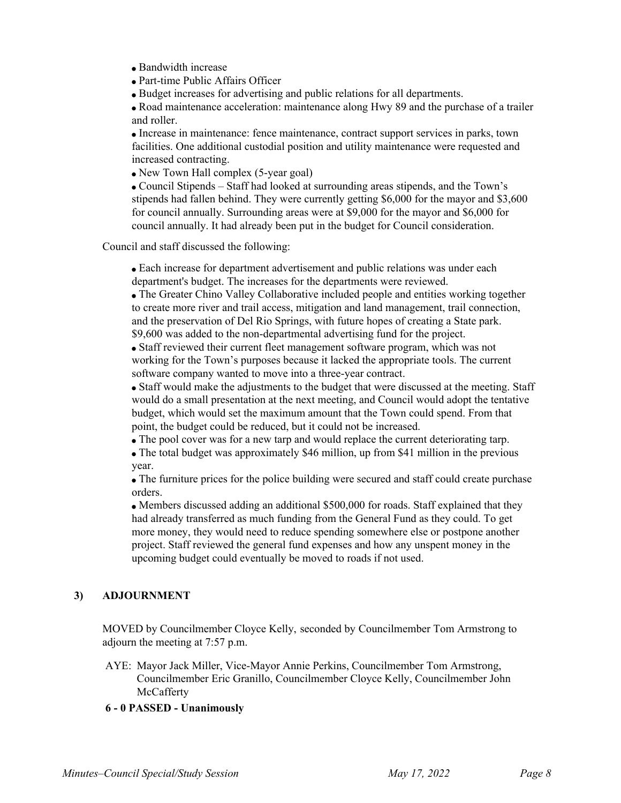- Bandwidth increase
- Part-time Public Affairs Officer
- Budget increases for advertising and public relations for all departments.

Road maintenance acceleration: maintenance along Hwy 89 and the purchase of a trailer and roller.

Increase in maintenance: fence maintenance, contract support services in parks, town facilities. One additional custodial position and utility maintenance were requested and increased contracting.

New Town Hall complex (5-year goal)

Council Stipends – Staff had looked at surrounding areas stipends, and the Town's stipends had fallen behind. They were currently getting \$6,000 for the mayor and \$3,600 for council annually. Surrounding areas were at \$9,000 for the mayor and \$6,000 for council annually. It had already been put in the budget for Council consideration.

Council and staff discussed the following:

Each increase for department advertisement and public relations was under each department's budget. The increases for the departments were reviewed.

The Greater Chino Valley Collaborative included people and entities working together to create more river and trail access, mitigation and land management, trail connection, and the preservation of Del Rio Springs, with future hopes of creating a State park. \$9,600 was added to the non-departmental advertising fund for the project.

Staff reviewed their current fleet management software program, which was not working for the Town's purposes because it lacked the appropriate tools. The current software company wanted to move into a three-year contract.

Staff would make the adjustments to the budget that were discussed at the meeting. Staff would do a small presentation at the next meeting, and Council would adopt the tentative budget, which would set the maximum amount that the Town could spend. From that point, the budget could be reduced, but it could not be increased.

The pool cover was for a new tarp and would replace the current deteriorating tarp.

The total budget was approximately \$46 million, up from \$41 million in the previous year.

The furniture prices for the police building were secured and staff could create purchase orders.

Members discussed adding an additional \$500,000 for roads. Staff explained that they had already transferred as much funding from the General Fund as they could. To get more money, they would need to reduce spending somewhere else or postpone another project. Staff reviewed the general fund expenses and how any unspent money in the upcoming budget could eventually be moved to roads if not used.

## **3) ADJOURNMENT**

MOVED by Councilmember Cloyce Kelly, seconded by Councilmember Tom Armstrong to adjourn the meeting at 7:57 p.m.

AYE: Mayor Jack Miller, Vice-Mayor Annie Perkins, Councilmember Tom Armstrong, Councilmember Eric Granillo, Councilmember Cloyce Kelly, Councilmember John McCafferty

#### **6 - 0 PASSED - Unanimously**